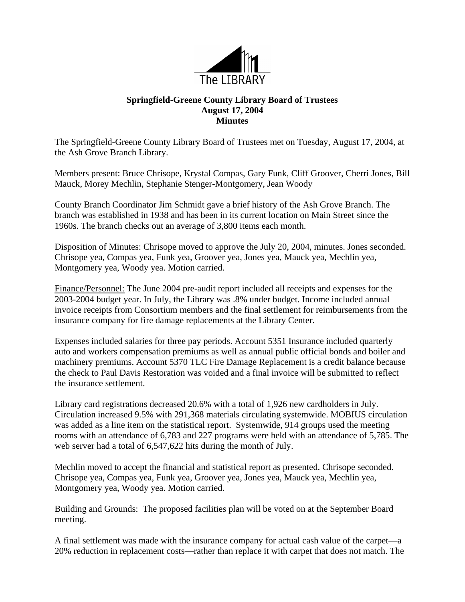

## **Springfield-Greene County Library Board of Trustees August 17, 2004 Minutes**

The Springfield-Greene County Library Board of Trustees met on Tuesday, August 17, 2004, at the Ash Grove Branch Library.

Members present: Bruce Chrisope, Krystal Compas, Gary Funk, Cliff Groover, Cherri Jones, Bill Mauck, Morey Mechlin, Stephanie Stenger-Montgomery, Jean Woody

County Branch Coordinator Jim Schmidt gave a brief history of the Ash Grove Branch. The branch was established in 1938 and has been in its current location on Main Street since the 1960s. The branch checks out an average of 3,800 items each month.

Disposition of Minutes: Chrisope moved to approve the July 20, 2004, minutes. Jones seconded. Chrisope yea, Compas yea, Funk yea, Groover yea, Jones yea, Mauck yea, Mechlin yea, Montgomery yea, Woody yea. Motion carried.

Finance/Personnel: The June 2004 pre-audit report included all receipts and expenses for the 2003-2004 budget year. In July, the Library was .8% under budget. Income included annual invoice receipts from Consortium members and the final settlement for reimbursements from the insurance company for fire damage replacements at the Library Center.

Expenses included salaries for three pay periods. Account 5351 Insurance included quarterly auto and workers compensation premiums as well as annual public official bonds and boiler and machinery premiums. Account 5370 TLC Fire Damage Replacement is a credit balance because the check to Paul Davis Restoration was voided and a final invoice will be submitted to reflect the insurance settlement.

Library card registrations decreased 20.6% with a total of 1,926 new cardholders in July. Circulation increased 9.5% with 291,368 materials circulating systemwide. MOBIUS circulation was added as a line item on the statistical report. Systemwide, 914 groups used the meeting rooms with an attendance of 6,783 and 227 programs were held with an attendance of 5,785. The web server had a total of 6,547,622 hits during the month of July.

Mechlin moved to accept the financial and statistical report as presented. Chrisope seconded. Chrisope yea, Compas yea, Funk yea, Groover yea, Jones yea, Mauck yea, Mechlin yea, Montgomery yea, Woody yea. Motion carried.

Building and Grounds: The proposed facilities plan will be voted on at the September Board meeting.

A final settlement was made with the insurance company for actual cash value of the carpet—a 20% reduction in replacement costs—rather than replace it with carpet that does not match. The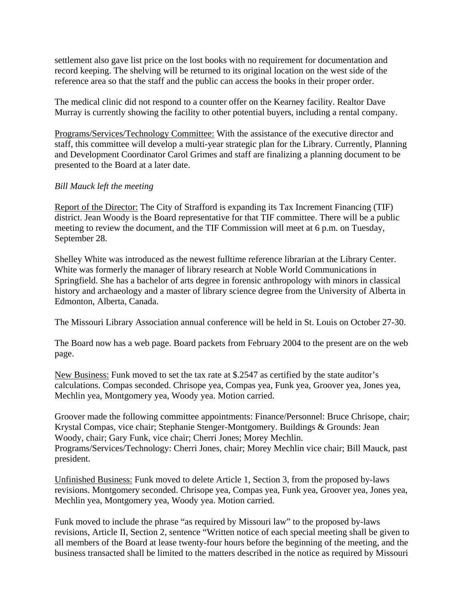settlement also gave list price on the lost books with no requirement for documentation and record keeping. The shelving will be returned to its original location on the west side of the reference area so that the staff and the public can access the books in their proper order.

The medical clinic did not respond to a counter offer on the Kearney facility. Realtor Dave Murray is currently showing the facility to other potential buyers, including a rental company.

Programs/Services/Technology Committee: With the assistance of the executive director and staff, this committee will develop a multi-year strategic plan for the Library. Currently, Planning and Development Coordinator Carol Grimes and staff are finalizing a planning document to be presented to the Board at a later date.

## *Bill Mauck left the meeting*

Report of the Director: The City of Strafford is expanding its Tax Increment Financing (TIF) district. Jean Woody is the Board representative for that TIF committee. There will be a public meeting to review the document, and the TIF Commission will meet at 6 p.m. on Tuesday, September 28.

Shelley White was introduced as the newest fulltime reference librarian at the Library Center. White was formerly the manager of library research at Noble World Communications in Springfield. She has a bachelor of arts degree in forensic anthropology with minors in classical history and archaeology and a master of library science degree from the University of Alberta in Edmonton, Alberta, Canada.

The Missouri Library Association annual conference will be held in St. Louis on October 27-30.

The Board now has a web page. Board packets from February 2004 to the present are on the web page.

New Business: Funk moved to set the tax rate at \$.2547 as certified by the state auditor's calculations. Compas seconded. Chrisope yea, Compas yea, Funk yea, Groover yea, Jones yea, Mechlin yea, Montgomery yea, Woody yea. Motion carried.

Groover made the following committee appointments: Finance/Personnel: Bruce Chrisope, chair; Krystal Compas, vice chair; Stephanie Stenger-Montgomery. Buildings & Grounds: Jean Woody, chair; Gary Funk, vice chair; Cherri Jones; Morey Mechlin. Programs/Services/Technology: Cherri Jones, chair; Morey Mechlin vice chair; Bill Mauck, past president.

Unfinished Business: Funk moved to delete Article 1, Section 3, from the proposed by-laws revisions. Montgomery seconded. Chrisope yea, Compas yea, Funk yea, Groover yea, Jones yea, Mechlin yea, Montgomery yea, Woody yea. Motion carried.

Funk moved to include the phrase "as required by Missouri law" to the proposed by-laws revisions, Article II, Section 2, sentence "Written notice of each special meeting shall be given to all members of the Board at lease twenty-four hours before the beginning of the meeting, and the business transacted shall be limited to the matters described in the notice as required by Missouri